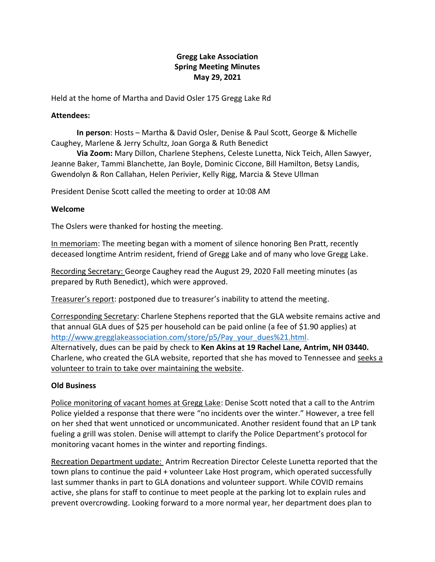# **Gregg Lake Association Spring Meeting Minutes May 29, 2021**

Held at the home of Martha and David Osler 175 Gregg Lake Rd

### **Attendees:**

**In person**: Hosts – Martha & David Osler, Denise & Paul Scott, George & Michelle Caughey, Marlene & Jerry Schultz, Joan Gorga & Ruth Benedict

**Via Zoom:** Mary Dillon, Charlene Stephens, Celeste Lunetta, Nick Teich, Allen Sawyer, Jeanne Baker, Tammi Blanchette, Jan Boyle, Dominic Ciccone, Bill Hamilton, Betsy Landis, Gwendolyn & Ron Callahan, Helen Perivier, Kelly Rigg, Marcia & Steve Ullman

President Denise Scott called the meeting to order at 10:08 AM

### **Welcome**

The Oslers were thanked for hosting the meeting.

In memoriam: The meeting began with a moment of silence honoring Ben Pratt, recently deceased longtime Antrim resident, friend of Gregg Lake and of many who love Gregg Lake.

Recording Secretary: George Caughey read the August 29, 2020 Fall meeting minutes (as prepared by Ruth Benedict), which were approved.

Treasurer's report: postponed due to treasurer's inability to attend the meeting.

Corresponding Secretary: Charlene Stephens reported that the GLA website remains active and that annual GLA dues of \$25 per household can be paid online (a fee of \$1.90 applies) at [http://www.gregglakeassociation.com/store/p5/Pay\\_your\\_dues%21.html.](http://www.gregglakeassociation.com/store/p5/Pay_your_dues%21.html) Alternatively, dues can be paid by check to **Ken Akins at 19 Rachel Lane, Antrim, NH 03440.** Charlene, who created the GLA website, reported that she has moved to Tennessee and seeks a volunteer to train to take over maintaining the website.

# **Old Business**

Police monitoring of vacant homes at Gregg Lake: Denise Scott noted that a call to the Antrim Police yielded a response that there were "no incidents over the winter." However, a tree fell on her shed that went unnoticed or uncommunicated. Another resident found that an LP tank fueling a grill was stolen. Denise will attempt to clarify the Police Department's protocol for monitoring vacant homes in the winter and reporting findings.

Recreation Department update: Antrim Recreation Director Celeste Lunetta reported that the town plans to continue the paid + volunteer Lake Host program, which operated successfully last summer thanks in part to GLA donations and volunteer support. While COVID remains active, she plans for staff to continue to meet people at the parking lot to explain rules and prevent overcrowding. Looking forward to a more normal year, her department does plan to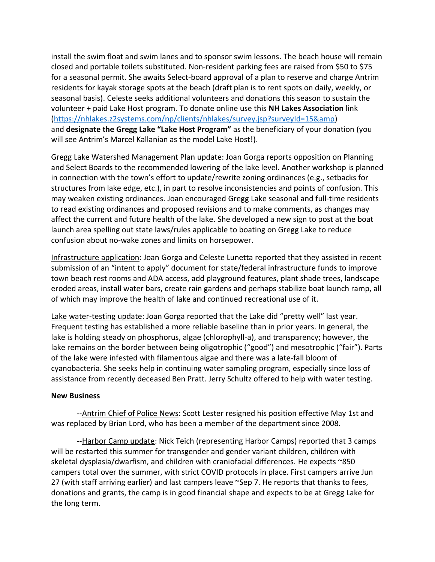install the swim float and swim lanes and to sponsor swim lessons. The beach house will remain closed and portable toilets substituted. Non-resident parking fees are raised from \$50 to \$75 for a seasonal permit. She awaits Select-board approval of a plan to reserve and charge Antrim residents for kayak storage spots at the beach (draft plan is to rent spots on daily, weekly, or seasonal basis). Celeste seeks additional volunteers and donations this season to sustain the volunteer + paid Lake Host program. To donate online use this **NH Lakes Association** link [\(https://nhlakes.z2systems.com/np/clients/nhlakes/survey.jsp?surveyId=15&amp\)](https://nhlakes.z2systems.com/np/clients/nhlakes/survey.jsp?surveyId=15&) and **designate the Gregg Lake "Lake Host Program"** as the beneficiary of your donation (you will see Antrim's Marcel Kallanian as the model Lake Host!).

Gregg Lake Watershed Management Plan update: Joan Gorga reports opposition on Planning and Select Boards to the recommended lowering of the lake level. Another workshop is planned in connection with the town's effort to update/rewrite zoning ordinances (e.g., setbacks for structures from lake edge, etc.), in part to resolve inconsistencies and points of confusion. This may weaken existing ordinances. Joan encouraged Gregg Lake seasonal and full-time residents to read existing ordinances and proposed revisions and to make comments, as changes may affect the current and future health of the lake. She developed a new sign to post at the boat launch area spelling out state laws/rules applicable to boating on Gregg Lake to reduce confusion about no-wake zones and limits on horsepower.

Infrastructure application: Joan Gorga and Celeste Lunetta reported that they assisted in recent submission of an "intent to apply" document for state/federal infrastructure funds to improve town beach rest rooms and ADA access, add playground features, plant shade trees, landscape eroded areas, install water bars, create rain gardens and perhaps stabilize boat launch ramp, all of which may improve the health of lake and continued recreational use of it.

Lake water-testing update: Joan Gorga reported that the Lake did "pretty well" last year. Frequent testing has established a more reliable baseline than in prior years. In general, the lake is holding steady on phosphorus, algae (chlorophyll-a), and transparency; however, the lake remains on the border between being oligotrophic ("good") and mesotrophic ("fair"). Parts of the lake were infested with filamentous algae and there was a late-fall bloom of cyanobacteria. She seeks help in continuing water sampling program, especially since loss of assistance from recently deceased Ben Pratt. Jerry Schultz offered to help with water testing.

#### **New Business**

--**Antrim Chief of Police News: Scott Lester resigned his position effective May 1st and** was replaced by Brian Lord, who has been a member of the department since 2008.

--Harbor Camp update: Nick Teich (representing Harbor Camps) reported that 3 camps will be restarted this summer for transgender and gender variant children, children with skeletal dysplasia/dwarfism, and children with craniofacial differences. He expects ~850 campers total over the summer, with strict COVID protocols in place. First campers arrive Jun 27 (with staff arriving earlier) and last campers leave ~Sep 7. He reports that thanks to fees, donations and grants, the camp is in good financial shape and expects to be at Gregg Lake for the long term.